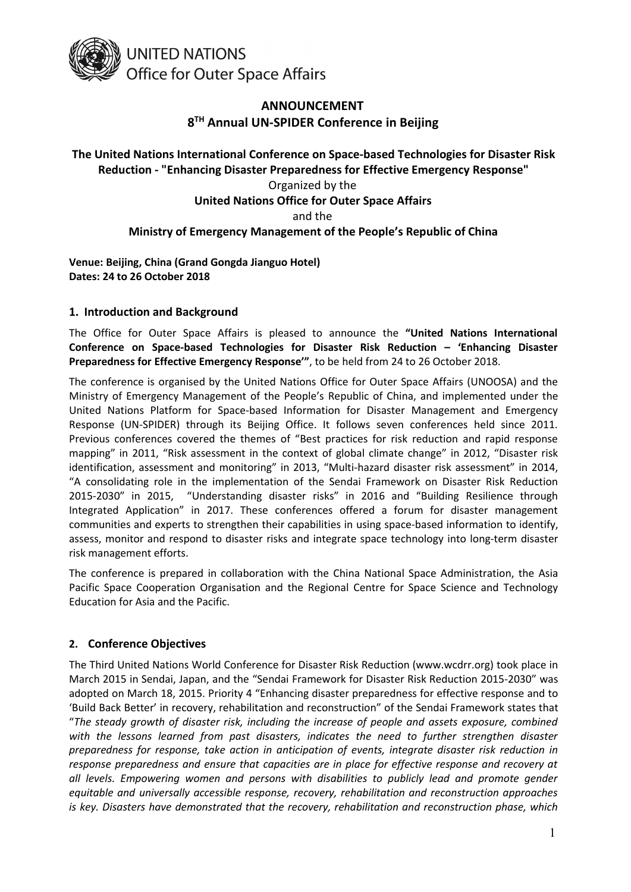

# **ANNOUNCEMENT 8 TH Annual UN-SPIDER Conference in Beijing**

# **The United Nations International Conference on Space-based Technologies for Disaster Risk Reduction - "Enhancing Disaster Preparedness for Effective Emergency Response"** Organized by the **United Nations Office for Outer Space Affairs** and the **Ministry of Emergency Management of the People's Republic of China**

**Venue: Beijing, China (Grand Gongda Jianguo Hotel) Dates: 24 to 26 October 2018**

## **1. Introduction and Background**

The Office for Outer Space Affairs is pleased to announce the **"United Nations International Conference on Space-based Technologies for Disaster Risk Reduction – 'Enhancing Disaster Preparedness for Effective Emergency Response'"**, to be held from 24 to 26 October 2018.

The conference is organised by the United Nations Office for Outer Space Affairs (UNOOSA) and the Ministry of Emergency Management of the People's Republic of China, and implemented under the United Nations Platform for Space-based Information for Disaster Management and Emergency Response (UN-SPIDER) through its Beijing Office. It follows seven conferences held since 2011. Previous conferences covered the themes of "Best practices for risk reduction and rapid response mapping" in 2011, "Risk assessment in the context of global climate change" in 2012, "Disaster risk identification, assessment and monitoring" in 2013, "Multi-hazard disaster risk assessment" in 2014, "A consolidating role in the implementation of the Sendai Framework on Disaster Risk Reduction 2015-2030" in 2015, "Understanding disaster risks" in 2016 and "Building Resilience through Integrated Application" in 2017. These conferences offered a forum for disaster management communities and experts to strengthen their capabilities in using space-based information to identify, assess, monitor and respond to disaster risks and integrate space technology into long-term disaster risk management efforts.

The conference is prepared in collaboration with the China National Space Administration, the Asia Pacific Space Cooperation Organisation and the Regional Centre for Space Science and Technology Education for Asia and the Pacific.

## **2. Conference Objectives**

The Third United Nations World Conference for Disaster Risk Reduction ([www.wcdrr.org\)](http://www.wcdrr.org) took place in March 2015 in Sendai, Japan, and the "Sendai Framework for Disaster Risk Reduction 2015-2030" was adopted on March 18, 2015. Priority 4 "Enhancing disaster preparedness for effective response and to 'Build Back Better' in recovery, rehabilitation and reconstruction" of the Sendai Framework states that "*The steady growth of disaster risk, including the increase of people and assets exposure, combined with the lessons learned from past disasters, indicates the need to further strengthen disaster preparedness for response, take action in anticipation of events, integrate disaster risk reduction in response preparedness and ensure that capacities are in place for effective response and recovery at all levels. Empowering women and persons with disabilities to publicly lead and promote gender equitable and universally accessible response, recovery, rehabilitation and reconstruction approaches is key. Disasters have demonstrated that the recovery, rehabilitation and reconstruction phase, which*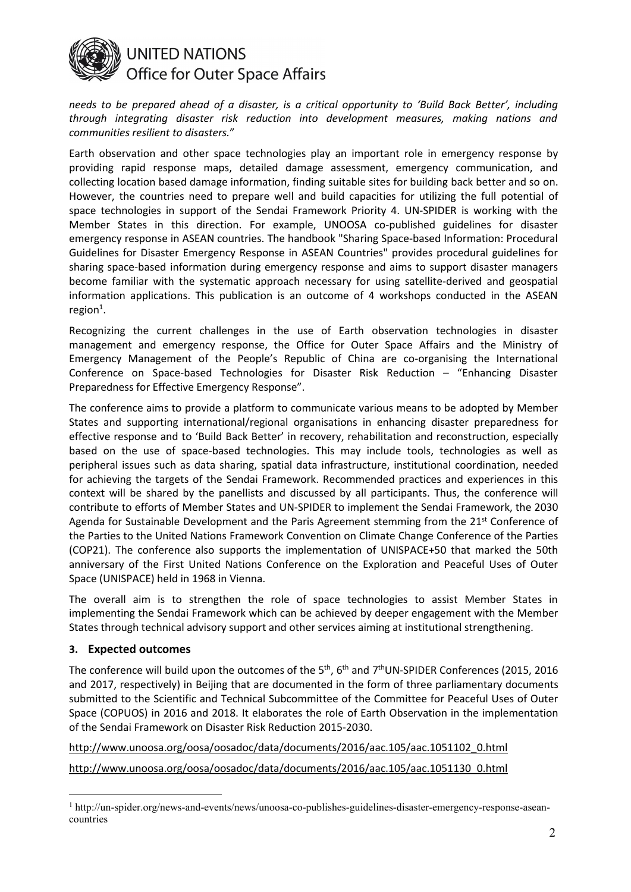

*needs to be prepared ahead of a disaster, is a critical opportunity to 'Build Back Better', including through integrating disaster risk reduction into development measures, making nations and communities resilient to disasters.*"

Earth observation and other space technologies play an important role in emergency response by providing rapid response maps, detailed damage assessment, emergency communication, and collecting location based damage information, finding suitable sites for building back better and so on. However, the countries need to prepare well and build capacities for utilizing the full potential of space technologies in support of the Sendai Framework Priority 4. UN-SPIDER is working with the Member States in this direction. For example, UNOOSA co-published guidelines for disaster emergency response in ASEAN countries. The handbook "Sharing Space-based Information: Procedural Guidelines for Disaster Emergency Response in ASEAN Countries"provides procedural guidelines for sharing space-based information during emergency response and aims to support disaster managers become familiar with the systematic approach necessary for using satellite-derived and geospatial information applications. This publication is an outcome of 4 workshops conducted in the ASEAN region $^1$ . [1](#page-1-0) .

Recognizing the current challenges in the use of Earth observation technologies in disaster management and emergency response, the Office for Outer Space Affairs and the Ministry of Emergency Management of the People's Republic of China are co-organising the International Conference on Space-based Technologies for Disaster Risk Reduction – "Enhancing Disaster Preparedness for Effective Emergency Response".

The conference aims to provide a platform to communicate various means to be adopted by Member States and supporting international/regional organisations in enhancing disaster preparedness for effective response and to 'Build Back Better'in recovery, rehabilitation and reconstruction, especially based on the use of space-based technologies. This may include tools, technologies as well as peripheral issues such as data sharing, spatial data infrastructure, institutional coordination, needed for achieving the targets of the Sendai Framework. Recommended practices and experiences in this context will be shared by the panellists and discussed by all participants. Thus, the conference will contribute to efforts of Member States and UN-SPIDER to implement the Sendai Framework, the 2030 Agenda for Sustainable Development and the Paris Agreement stemming from the 21<sup>st</sup> Conference of the Parties to the United Nations Framework Convention on Climate Change Conference of the Parties (COP21). The conference also supports the implementation of UNISPACE+50 that marked the 50th anniversary of the First United Nations Conference on the Exploration and Peaceful Uses of Outer Space (UNISPACE) held in 1968 in Vienna.

The overall aim is to strengthen the role of space technologies to assist Member States in implementing the Sendai Framework which can be achieved by deeper engagement with the Member States through technical advisory support and other services aiming at institutional strengthening.

#### **3. Expected outcomes**

The conference will build upon the outcomes of the 5<sup>th</sup>, 6<sup>th</sup> and 7<sup>th</sup>UN-SPIDER Conferences (2015, 2016 and 2017, respectively) in Beijing that are documented in the form of three parliamentary documents submitted to the Scientific and Technical Subcommittee of the Committee for Peaceful Uses of Outer Space (COPUOS) in 2016 and 2018. It elaborates the role of Earth Observation in the implementation of the Sendai Framework on Disaster Risk Reduction 2015-2030.

[http://www.unoosa.org/oosa/oosadoc/data/documents/2016/aac.105/aac.1051102\\_0.html](http://www.unoosa.org/oosa/oosadoc/data/documents/2016/aac.105/aac.1051102_0.html)

[http://www.unoosa.org/oosa/oosadoc/data/documents/2016/aac.105/aac.1051130\\_0.html](http://www.unoosa.org/oosa/oosadoc/data/documents/2016/aac.105/aac.1051130_0.html)

<span id="page-1-0"></span><sup>1</sup> http://un-spider.org/news-and-events/news/unoosa-co-publishes-guidelines-disaster-emergency-response-asean countries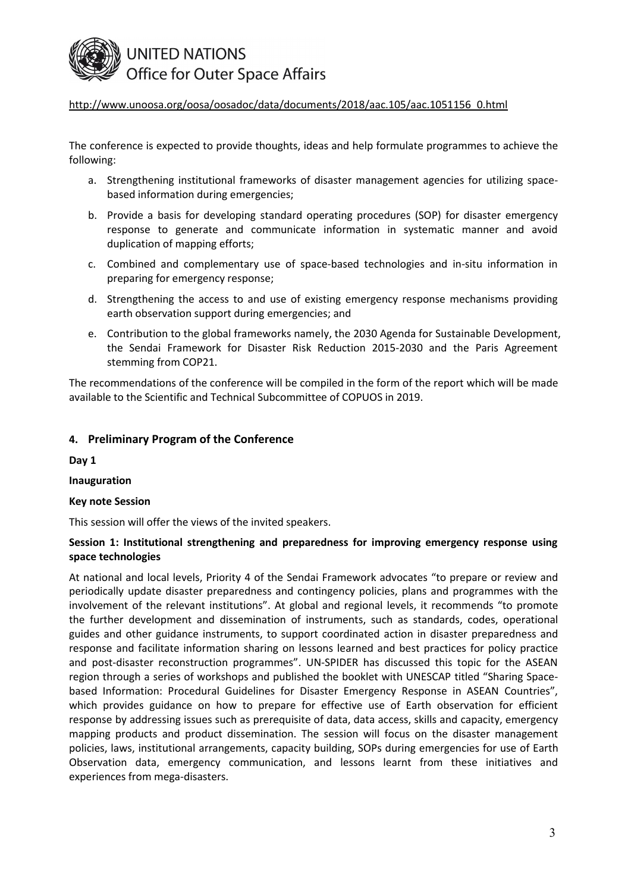

## [http://www.unoosa.org/oosa/oosadoc/data/documents/2018/aac.105/aac.1051156\\_0.html](http://www.unoosa.org/oosa/oosadoc/data/documents/2018/aac.105/aac.1051156_0.html)

The conference is expected to provide thoughts, ideas and help formulate programmes to achieve the following:

- a. Strengthening institutional frameworks of disaster management agencies for utilizing space based information during emergencies;
- b. Provide a basis for developing standard operating procedures (SOP) for disaster emergency response to generate and communicate information in systematic manner and avoid duplication of mapping efforts;
- c. Combined and complementary use of space-based technologies and in-situ information in preparing for emergency response;
- d. Strengthening the access to and use of existing emergency response mechanisms providing earth observation support during emergencies; and
- e. Contribution to the global frameworks namely, the 2030 Agenda for Sustainable Development, the Sendai Framework for Disaster Risk Reduction 2015-2030 and the Paris Agreement stemming from COP21.

The recommendations of the conference will be compiled in the form of the report which will be made available to the Scientific and Technical Subcommittee of COPUOS in 2019.

#### **4. Preliminary Program of the Conference**

**Day 1**

**Inauguration**

#### **Key note Session**

This session will offer the views of the invited speakers.

#### **Session 1: Institutional strengthening and preparedness for improving emergency response using space technologies**

At national and local levels, Priority 4 of the Sendai Framework advocates "to prepare or review and periodically update disaster preparedness and contingency policies, plans and programmes with the involvement of the relevant institutions". At global and regional levels, it recommends "to promote the further development and dissemination of instruments, such as standards, codes, operational guides and other guidance instruments, to support coordinated action in disaster preparedness and response and facilitate information sharing on lessons learned and best practices for policy practice and post-disaster reconstruction programmes". UN-SPIDER has discussed this topic for the ASEAN region through a series of workshops and published the booklet with UNESCAP titled "Sharing Space based Information: Procedural Guidelines for Disaster Emergency Response in ASEAN Countries", which provides guidance on how to prepare for effective use of Earth observation for efficient response by addressing issues such as prerequisite of data, data access, skills and capacity, emergency mapping products and product dissemination. The session will focus on the disaster management policies, laws, institutional arrangements, capacity building, SOPs during emergencies for use of Earth Observation data, emergency communication, and lessons learnt from these initiatives and experiences from mega-disasters.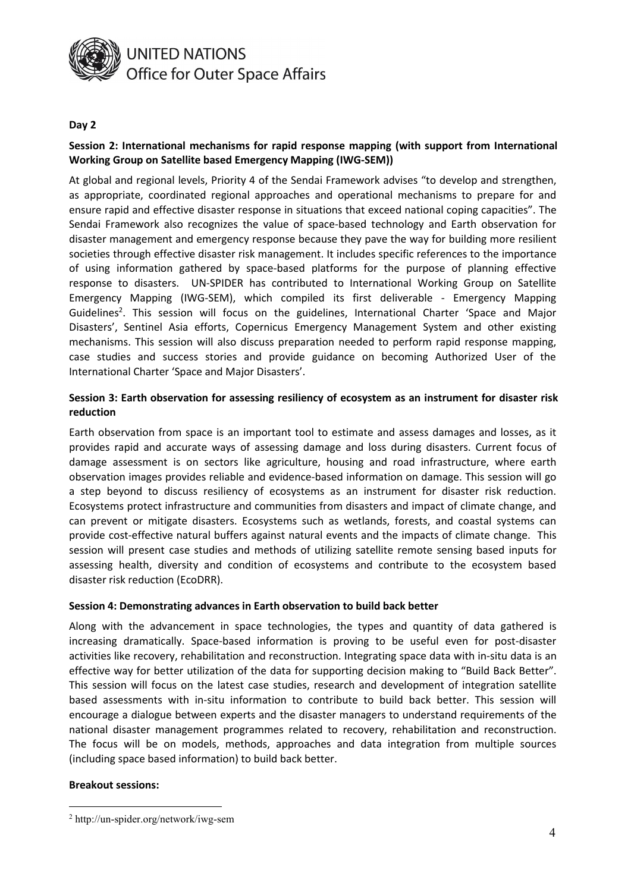

#### **Day 2**

## **Session 2: International mechanisms for rapid response mapping (with support from International Working Group on Satellite based Emergency Mapping (IWG-SEM))**

At global and regional levels, Priority 4 of the Sendai Framework advises "to develop and strengthen, as appropriate, coordinated regional approaches and operational mechanisms to prepare for and ensure rapid and effective disaster response in situations that exceed national coping capacities". The Sendai Framework also recognizes the value of space-based technology and Earth observation for disaster management and emergency response because they pave the way for building more resilient societies through effective disaster risk management. It includes specific references to the importance of using information gathered by space-based platforms for the purpose of planning effective response to disasters. UN-SPIDER has contributed to International Working Group on Satellite Emergency Mapping (IWG-SEM), which compiled its first deliverable - Emergency Mapping Guidelines [2](#page-3-0) . This session will focus on the guidelines, International Charter 'Space and Major Disasters', Sentinel Asia efforts, Copernicus Emergency Management System and other existing mechanisms. This session will also discuss preparation needed to perform rapid response mapping, case studies and success stories and provide guidance on becoming Authorized User of the International Charter 'Space and Major Disasters'.

#### **Session 3: Earth observation for assessing resiliency of ecosystem as an instrument for disaster risk reduction**

Earth observation from space is an important tool to estimate and assess damages and losses, as it provides rapid and accurate ways of assessing damage and loss during disasters. Current focus of damage assessment is on sectors like agriculture, housing and road infrastructure, where earth observation images provides reliable and evidence-based information on damage. This session will go a step beyond to discuss resiliency of ecosystems as an instrument for disaster risk reduction. Ecosystems protect infrastructure and communities from disasters and impact of climate change, and can prevent or mitigate disasters. Ecosystems such as wetlands, forests, and coastal systems can provide cost-effective natural buffers against natural events and the impacts of climate change. This session will present case studies and methods of utilizing satellite remote sensing based inputs for assessing health, diversity and condition of ecosystems and contribute to the ecosystem based disaster risk reduction (EcoDRR).

#### **Session 4: Demonstrating advances in Earth observation to build back better**

Along with the advancement in space technologies, the types and quantity of data gathered is increasing dramatically. Space-based information is proving to be useful even for post-disaster activities like recovery, rehabilitation and reconstruction. Integrating space data with in-situ data is an effective way for better utilization of the data for supporting decision making to "Build Back Better". This session will focus on the latest case studies, research and development of integration satellite based assessments with in-situ information to contribute to build back better. This session will encourage a dialogue between experts and the disaster managers to understand requirements of the national disaster management programmes related to recovery, rehabilitation and reconstruction. The focus will be on models, methods, approaches and data integration from multiple sources (including space based information) to build back better.

#### **Breakout sessions:**

<span id="page-3-0"></span><sup>2</sup> http://un-spider.org/network/iwg-sem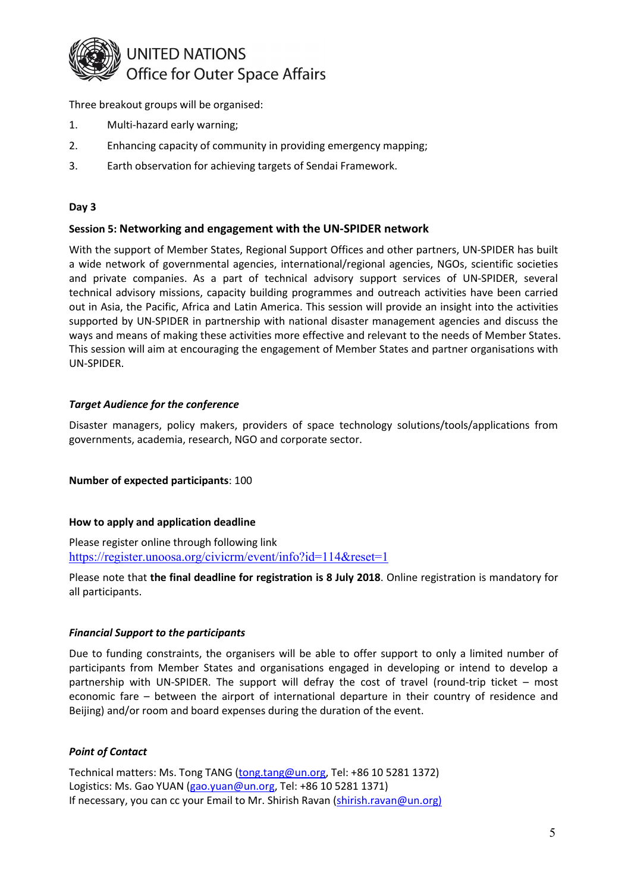

Three breakout groups will be organised:

- 1. Multi-hazard early warning;
- 2. Enhancing capacity of community in providing emergency mapping;
- 3. Earth observation for achieving targets of Sendai Framework.

## **Day 3**

## **Session 5: Networking and engagement with the UN-SPIDER network**

With the support of Member States, Regional Support Offices and other partners, UN-SPIDER has built a wide network of governmental agencies, international/regional agencies, NGOs, scientific societies and private companies. As a part of technical advisory support services of UN-SPIDER, several technical advisory missions, capacity building programmes and outreach activities have been carried out in Asia, the Pacific, Africa and Latin America. This session will provide an insight into the activities supported by UN-SPIDER in partnership with national disaster management agencies and discuss the ways and means of making these activities more effective and relevant to the needs of Member States. This session will aim at encouraging the engagement of Member States and partner organisations with UN-SPIDER.

## *Target Audience for the conference*

Disaster managers, policy makers, providers of space technology solutions/tools/applications from governments, academia, research, NGO and corporate sector.

**Number of expected participants**: 100

#### **How to apply and application deadline**

Please register online through following link <https://register.unoosa.org/civicrm/event/info?id=114&reset=1>

Please note that **the final deadline for registration is 8 July 2018**. Online registration is mandatory for all participants.

#### *Financial Support to the participants*

Due to funding constraints, the organisers will be able to offer support to only a limited number of participants from Member States and organisations engaged in developing or intend to develop a partnership with UN-SPIDER. The support will defray the cost of travel (round-trip ticket – most economic fare – between the airport of international departure in their country of residence and Beijing) and/or room and board expenses during the duration of the event.

## *Point of Contact*

Technical matters: Ms. Tong TANG [\(tong.tang@un.org](mailto:tong.tang@un.org), Tel: +86 10 5281 1372) Logistics: Ms. Gao YUAN [\(gao.yuan@un.org](mailto:gao.yuan@un.org), Tel: +86 10 5281 1371) If necessary, you can cc your Email to Mr. Shirish Ravan ([shirish.ravan@un.org\)](mailto:shirish.ravan@un.org)